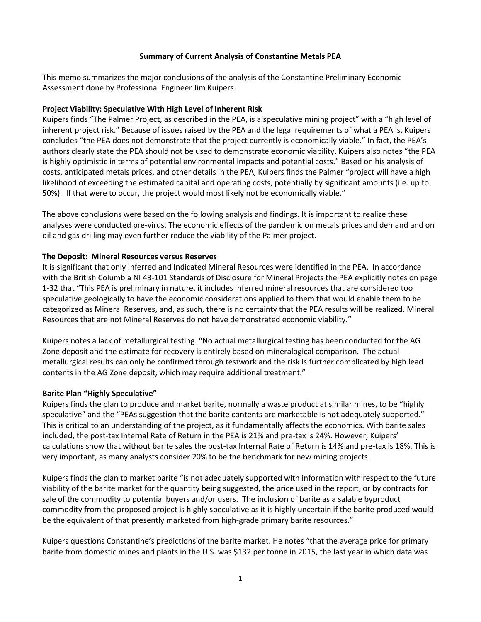# **Summary of Current Analysis of Constantine Metals PEA**

This memo summarizes the major conclusions of the analysis of the Constantine Preliminary Economic Assessment done by Professional Engineer Jim Kuipers.

#### **Project Viability: Speculative With High Level of Inherent Risk**

Kuipers finds "The Palmer Project, as described in the PEA, is a speculative mining project" with a "high level of inherent project risk." Because of issues raised by the PEA and the legal requirements of what a PEA is, Kuipers concludes "the PEA does not demonstrate that the project currently is economically viable." In fact, the PEA's authors clearly state the PEA should not be used to demonstrate economic viability. Kuipers also notes "the PEA is highly optimistic in terms of potential environmental impacts and potential costs." Based on his analysis of costs, anticipated metals prices, and other details in the PEA, Kuipers finds the Palmer "project will have a high likelihood of exceeding the estimated capital and operating costs, potentially by significant amounts (i.e. up to 50%). If that were to occur, the project would most likely not be economically viable."

The above conclusions were based on the following analysis and findings. It is important to realize these analyses were conducted pre-virus. The economic effects of the pandemic on metals prices and demand and on oil and gas drilling may even further reduce the viability of the Palmer project.

## **The Deposit: Mineral Resources versus Reserves**

It is significant that only Inferred and Indicated Mineral Resources were identified in the PEA. In accordance with the British Columbia NI 43-101 Standards of Disclosure for Mineral Projects the PEA explicitly notes on page 1-32 that "This PEA is preliminary in nature, it includes inferred mineral resources that are considered too speculative geologically to have the economic considerations applied to them that would enable them to be categorized as Mineral Reserves, and, as such, there is no certainty that the PEA results will be realized. Mineral Resources that are not Mineral Reserves do not have demonstrated economic viability."

Kuipers notes a lack of metallurgical testing. "No actual metallurgical testing has been conducted for the AG Zone deposit and the estimate for recovery is entirely based on mineralogical comparison. The actual metallurgical results can only be confirmed through testwork and the risk is further complicated by high lead contents in the AG Zone deposit, which may require additional treatment."

#### **Barite Plan "Highly Speculative"**

Kuipers finds the plan to produce and market barite, normally a waste product at similar mines, to be "highly speculative" and the "PEAs suggestion that the barite contents are marketable is not adequately supported." This is critical to an understanding of the project, as it fundamentally affects the economics. With barite sales included, the post-tax Internal Rate of Return in the PEA is 21% and pre-tax is 24%. However, Kuipers' calculations show that without barite sales the post-tax Internal Rate of Return is 14% and pre-tax is 18%. This is very important, as many analysts consider 20% to be the benchmark for new mining projects.

Kuipers finds the plan to market barite "is not adequately supported with information with respect to the future viability of the barite market for the quantity being suggested, the price used in the report, or by contracts for sale of the commodity to potential buyers and/or users. The inclusion of barite as a salable byproduct commodity from the proposed project is highly speculative as it is highly uncertain if the barite produced would be the equivalent of that presently marketed from high-grade primary barite resources."

Kuipers questions Constantine's predictions of the barite market. He notes "that the average price for primary barite from domestic mines and plants in the U.S. was \$132 per tonne in 2015, the last year in which data was